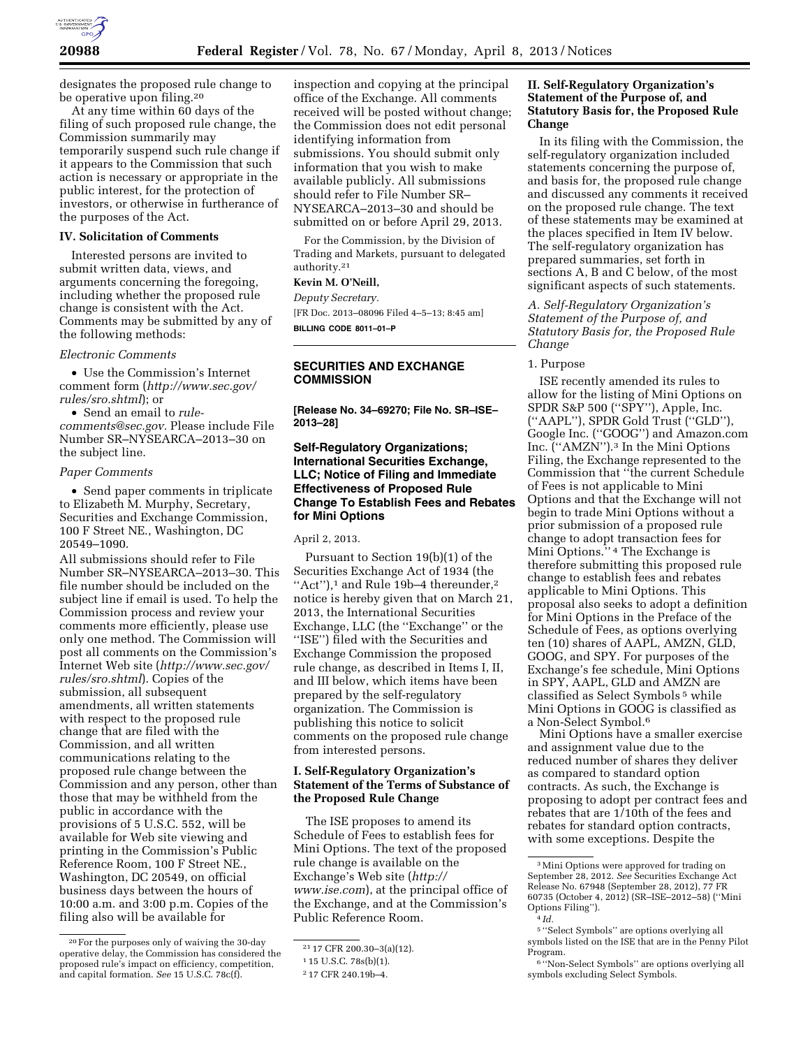

designates the proposed rule change to be operative upon filing.20

At any time within 60 days of the filing of such proposed rule change, the Commission summarily may temporarily suspend such rule change if it appears to the Commission that such action is necessary or appropriate in the public interest, for the protection of investors, or otherwise in furtherance of the purposes of the Act.

### **IV. Solicitation of Comments**

Interested persons are invited to submit written data, views, and arguments concerning the foregoing, including whether the proposed rule change is consistent with the Act. Comments may be submitted by any of the following methods:

#### *Electronic Comments*

• Use the Commission's Internet comment form (*[http://www.sec.gov/](http://www.sec.gov/rules/sro.shtml)  [rules/sro.shtml](http://www.sec.gov/rules/sro.shtml)*); or

• Send an email to *[rule](mailto:rule-comments@sec.gov)[comments@sec.gov.](mailto:rule-comments@sec.gov)* Please include File Number SR–NYSEARCA–2013–30 on the subject line.

### *Paper Comments*

• Send paper comments in triplicate to Elizabeth M. Murphy, Secretary, Securities and Exchange Commission, 100 F Street NE., Washington, DC 20549–1090.

All submissions should refer to File Number SR–NYSEARCA–2013–30. This file number should be included on the subject line if email is used. To help the Commission process and review your comments more efficiently, please use only one method. The Commission will post all comments on the Commission's Internet Web site (*[http://www.sec.gov/](http://www.sec.gov/rules/sro.shtml)  [rules/sro.shtml](http://www.sec.gov/rules/sro.shtml)*). Copies of the submission, all subsequent amendments, all written statements with respect to the proposed rule change that are filed with the Commission, and all written communications relating to the proposed rule change between the Commission and any person, other than those that may be withheld from the public in accordance with the provisions of 5 U.S.C. 552, will be available for Web site viewing and printing in the Commission's Public Reference Room, 100 F Street NE., Washington, DC 20549, on official business days between the hours of 10:00 a.m. and 3:00 p.m. Copies of the filing also will be available for

inspection and copying at the principal office of the Exchange. All comments received will be posted without change; the Commission does not edit personal identifying information from submissions. You should submit only information that you wish to make available publicly. All submissions should refer to File Number SR– NYSEARCA–2013–30 and should be submitted on or before April 29, 2013.

For the Commission, by the Division of Trading and Markets, pursuant to delegated authority.21

# **Kevin M. O'Neill,**

*Deputy Secretary.*  [FR Doc. 2013–08096 Filed 4–5–13; 8:45 am] **BILLING CODE 8011–01–P** 

# **SECURITIES AND EXCHANGE COMMISSION**

**[Release No. 34–69270; File No. SR–ISE– 2013–28]** 

# **Self-Regulatory Organizations; International Securities Exchange, LLC; Notice of Filing and Immediate Effectiveness of Proposed Rule Change To Establish Fees and Rebates for Mini Options**

# April 2, 2013.

Pursuant to Section 19(b)(1) of the Securities Exchange Act of 1934 (the "Act"),<sup>1</sup> and Rule 19b-4 thereunder,<sup>2</sup> notice is hereby given that on March 21, 2013, the International Securities Exchange, LLC (the ''Exchange'' or the ''ISE'') filed with the Securities and Exchange Commission the proposed rule change, as described in Items I, II, and III below, which items have been prepared by the self-regulatory organization. The Commission is publishing this notice to solicit comments on the proposed rule change from interested persons.

# **I. Self-Regulatory Organization's Statement of the Terms of Substance of the Proposed Rule Change**

The ISE proposes to amend its Schedule of Fees to establish fees for Mini Options. The text of the proposed rule change is available on the Exchange's Web site (*[http://](http://www.ise.com)  [www.ise.com](http://www.ise.com)*), at the principal office of the Exchange, and at the Commission's Public Reference Room.

# **II. Self-Regulatory Organization's Statement of the Purpose of, and Statutory Basis for, the Proposed Rule Change**

In its filing with the Commission, the self-regulatory organization included statements concerning the purpose of, and basis for, the proposed rule change and discussed any comments it received on the proposed rule change. The text of these statements may be examined at the places specified in Item IV below. The self-regulatory organization has prepared summaries, set forth in sections A, B and C below, of the most significant aspects of such statements.

*A. Self-Regulatory Organization's Statement of the Purpose of, and Statutory Basis for, the Proposed Rule Change* 

#### 1. Purpose

ISE recently amended its rules to allow for the listing of Mini Options on SPDR S&P 500 (''SPY''), Apple, Inc. (''AAPL''), SPDR Gold Trust (''GLD''), Google Inc. (''GOOG'') and Amazon.com Inc. (''AMZN'').3 In the Mini Options Filing, the Exchange represented to the Commission that ''the current Schedule of Fees is not applicable to Mini Options and that the Exchange will not begin to trade Mini Options without a prior submission of a proposed rule change to adopt transaction fees for Mini Options.'' 4 The Exchange is therefore submitting this proposed rule change to establish fees and rebates applicable to Mini Options. This proposal also seeks to adopt a definition for Mini Options in the Preface of the Schedule of Fees, as options overlying ten (10) shares of AAPL, AMZN, GLD, GOOG, and SPY. For purposes of the Exchange's fee schedule, Mini Options in SPY, AAPL, GLD and AMZN are classified as Select Symbols 5 while Mini Options in GOOG is classified as a Non-Select Symbol.6

Mini Options have a smaller exercise and assignment value due to the reduced number of shares they deliver as compared to standard option contracts. As such, the Exchange is proposing to adopt per contract fees and rebates that are 1/10th of the fees and rebates for standard option contracts, with some exceptions. Despite the

<sup>20</sup>For the purposes only of waiving the 30-day operative delay, the Commission has considered the proposed rule's impact on efficiency, competition, and capital formation. *See* 15 U.S.C. 78c(f).

<sup>21</sup> 17 CFR 200.30–3(a)(12).

<sup>1</sup> 15 U.S.C. 78s(b)(1).

<sup>2</sup> 17 CFR 240.19b–4.

<sup>3</sup>Mini Options were approved for trading on September 28, 2012. *See* Securities Exchange Act Release No. 67948 (September 28, 2012), 77 FR 60735 (October 4, 2012) (SR–ISE–2012–58) (''Mini Options Filing'').

<sup>4</sup> *Id.* 

<sup>5</sup> ''Select Symbols'' are options overlying all symbols listed on the ISE that are in the Penny Pilot Program.

<sup>6</sup> ''Non-Select Symbols'' are options overlying all symbols excluding Select Symbols.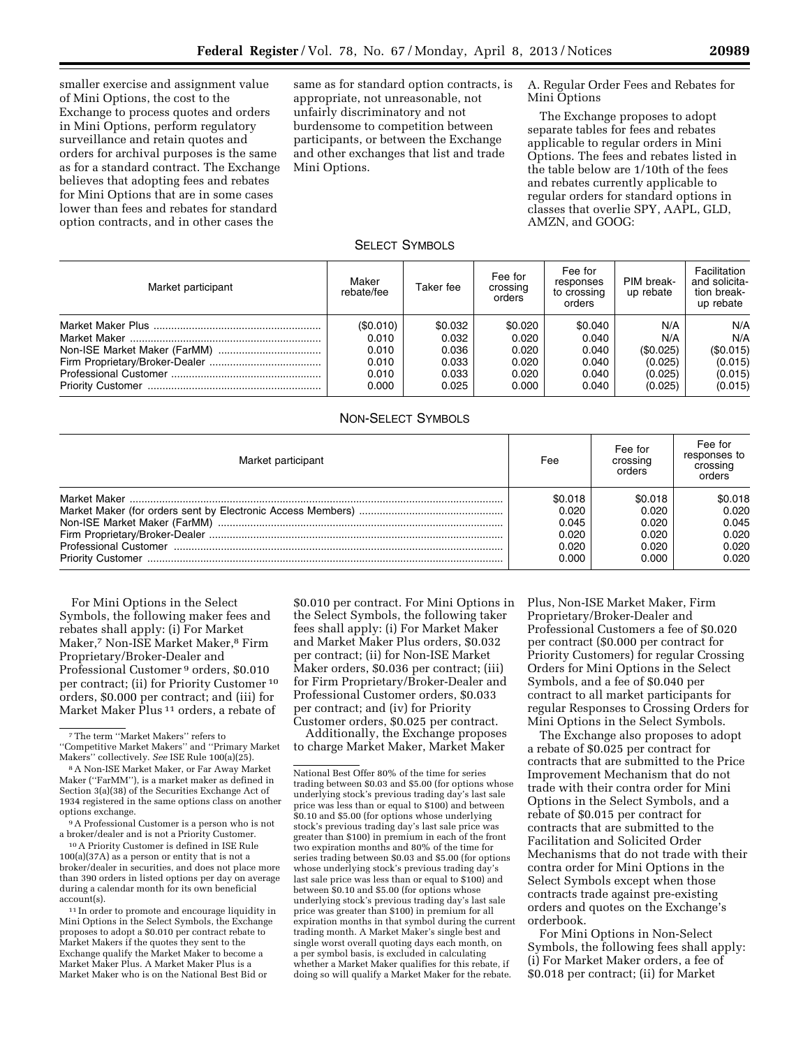smaller exercise and assignment value of Mini Options, the cost to the Exchange to process quotes and orders in Mini Options, perform regulatory surveillance and retain quotes and orders for archival purposes is the same as for a standard contract. The Exchange believes that adopting fees and rebates for Mini Options that are in some cases lower than fees and rebates for standard option contracts, and in other cases the

same as for standard option contracts, is appropriate, not unreasonable, not unfairly discriminatory and not burdensome to competition between participants, or between the Exchange and other exchanges that list and trade Mini Options.

A. Regular Order Fees and Rebates for Mini Options

The Exchange proposes to adopt separate tables for fees and rebates applicable to regular orders in Mini Options. The fees and rebates listed in the table below are 1/10th of the fees and rebates currently applicable to regular orders for standard options in classes that overlie SPY, AAPL, GLD, AMZN, and GOOG:

# SELECT SYMBOLS

| Market participant | Maker<br>rebate/fee | Taker fee      | Fee for<br>crossing<br>orders | Fee for<br>responses<br>to crossing<br>orders | PIM break-<br>up rebate | Facilitation<br>and solicita-<br>tion break-<br>up rebate |
|--------------------|---------------------|----------------|-------------------------------|-----------------------------------------------|-------------------------|-----------------------------------------------------------|
|                    | (S0.010)            | \$0.032        | \$0.020                       | \$0.040                                       | N/A<br>N/A              | N/A<br>N/A                                                |
|                    | 0.010<br>0.010      | 0.032<br>0.036 | 0.020<br>0.020                | 0.040<br>0.040                                | (S0.025)                | (\$0.015)                                                 |
|                    | 0.010               | 0.033          | 0.020                         | 0.040                                         | (0.025)                 | (0.015)                                                   |
|                    | 0.010               | 0.033          | 0.020                         | 0.040                                         | (0.025)                 | (0.015)                                                   |
|                    | 0.000               | 0.025          | 0.000                         | 0.040                                         | (0.025)                 | (0.015)                                                   |

# NON-SELECT SYMBOLS

| Market participant       | Fee     | Fee for<br>crossing<br>orders | Fee for<br>responses to<br>crossing<br>orders |
|--------------------------|---------|-------------------------------|-----------------------------------------------|
|                          | \$0.018 | \$0.018                       | \$0.018                                       |
|                          | 0.020   | 0.020                         | 0.020                                         |
|                          | 0.045   | 0.020                         | 0.045                                         |
|                          | 0.020   | 0.020                         | 0.020                                         |
|                          | 0.020   | 0.020                         | 0.020                                         |
| <b>Priority Customer</b> | 0.000   | 0.000                         | 0.020                                         |

For Mini Options in the Select Symbols, the following maker fees and rebates shall apply: (i) For Market Maker,7 Non-ISE Market Maker,8 Firm Proprietary/Broker-Dealer and Professional Customer 9 orders, \$0.010 per contract; (ii) for Priority Customer 10 orders, \$0.000 per contract; and (iii) for Market Maker Plus<sup>11</sup> orders, a rebate of

11 In order to promote and encourage liquidity in Mini Options in the Select Symbols, the Exchange proposes to adopt a \$0.010 per contract rebate to Market Makers if the quotes they sent to the Exchange qualify the Market Maker to become a Market Maker Plus. A Market Maker Plus is a Market Maker who is on the National Best Bid or

\$0.010 per contract. For Mini Options in the Select Symbols, the following taker fees shall apply: (i) For Market Maker and Market Maker Plus orders, \$0.032 per contract; (ii) for Non-ISE Market Maker orders, \$0.036 per contract; (iii) for Firm Proprietary/Broker-Dealer and Professional Customer orders, \$0.033 per contract; and (iv) for Priority Customer orders, \$0.025 per contract.

Additionally, the Exchange proposes to charge Market Maker, Market Maker

Plus, Non-ISE Market Maker, Firm Proprietary/Broker-Dealer and Professional Customers a fee of \$0.020 per contract (\$0.000 per contract for Priority Customers) for regular Crossing Orders for Mini Options in the Select Symbols, and a fee of \$0.040 per contract to all market participants for regular Responses to Crossing Orders for Mini Options in the Select Symbols.

The Exchange also proposes to adopt a rebate of \$0.025 per contract for contracts that are submitted to the Price Improvement Mechanism that do not trade with their contra order for Mini Options in the Select Symbols, and a rebate of \$0.015 per contract for contracts that are submitted to the Facilitation and Solicited Order Mechanisms that do not trade with their contra order for Mini Options in the Select Symbols except when those contracts trade against pre-existing orders and quotes on the Exchange's orderbook.

For Mini Options in Non-Select Symbols, the following fees shall apply: (i) For Market Maker orders, a fee of \$0.018 per contract; (ii) for Market

<sup>7</sup>The term ''Market Makers'' refers to ''Competitive Market Makers'' and ''Primary Market Makers'' collectively. *See* ISE Rule 100(a)(25).

<sup>8</sup>A Non-ISE Market Maker, or Far Away Market Maker (''FarMM''), is a market maker as defined in Section 3(a)(38) of the Securities Exchange Act of 1934 registered in the same options class on another options exchange.

<sup>9</sup>A Professional Customer is a person who is not a broker/dealer and is not a Priority Customer.

<sup>10</sup>A Priority Customer is defined in ISE Rule 100(a)(37A) as a person or entity that is not a broker/dealer in securities, and does not place more than 390 orders in listed options per day on average during a calendar month for its own beneficial account(s).

National Best Offer 80% of the time for series trading between \$0.03 and \$5.00 (for options whose underlying stock's previous trading day's last sale price was less than or equal to \$100) and between \$0.10 and \$5.00 (for options whose underlying stock's previous trading day's last sale price was greater than \$100) in premium in each of the front two expiration months and 80% of the time for series trading between \$0.03 and \$5.00 (for options whose underlying stock's previous trading day's last sale price was less than or equal to \$100) and between \$0.10 and \$5.00 (for options whose underlying stock's previous trading day's last sale price was greater than \$100) in premium for all expiration months in that symbol during the current trading month. A Market Maker's single best and single worst overall quoting days each month, on a per symbol basis, is excluded in calculating whether a Market Maker qualifies for this rebate, if doing so will qualify a Market Maker for the rebate.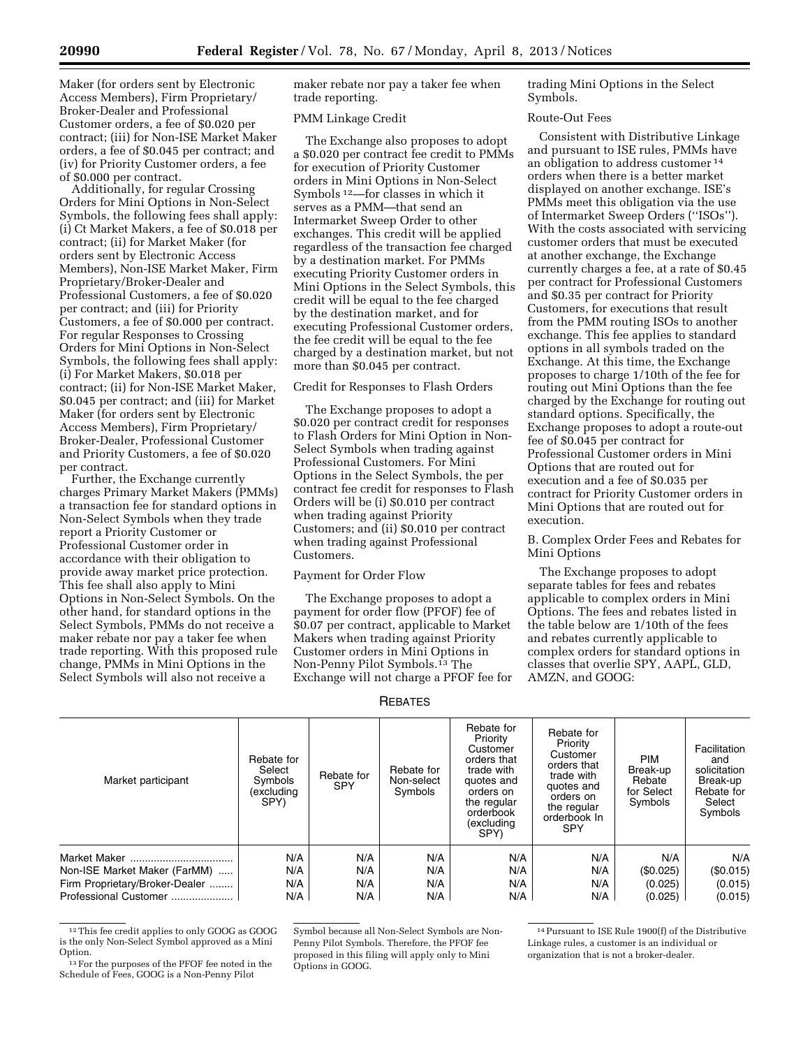Maker (for orders sent by Electronic Access Members), Firm Proprietary/ Broker-Dealer and Professional Customer orders, a fee of \$0.020 per contract; (iii) for Non-ISE Market Maker orders, a fee of \$0.045 per contract; and (iv) for Priority Customer orders, a fee of \$0.000 per contract.

Additionally, for regular Crossing Orders for Mini Options in Non-Select Symbols, the following fees shall apply: (i) Ct Market Makers, a fee of \$0.018 per contract; (ii) for Market Maker (for orders sent by Electronic Access Members), Non-ISE Market Maker, Firm Proprietary/Broker-Dealer and Professional Customers, a fee of \$0.020 per contract; and (iii) for Priority Customers, a fee of \$0.000 per contract. For regular Responses to Crossing Orders for Mini Options in Non-Select Symbols, the following fees shall apply: (i) For Market Makers, \$0.018 per contract; (ii) for Non-ISE Market Maker, \$0.045 per contract; and (iii) for Market Maker (for orders sent by Electronic Access Members), Firm Proprietary/ Broker-Dealer, Professional Customer and Priority Customers, a fee of \$0.020 per contract.

Further, the Exchange currently charges Primary Market Makers (PMMs) a transaction fee for standard options in Non-Select Symbols when they trade report a Priority Customer or Professional Customer order in accordance with their obligation to provide away market price protection. This fee shall also apply to Mini Options in Non-Select Symbols. On the other hand, for standard options in the Select Symbols, PMMs do not receive a maker rebate nor pay a taker fee when trade reporting. With this proposed rule change, PMMs in Mini Options in the Select Symbols will also not receive a

maker rebate nor pay a taker fee when trade reporting.

# PMM Linkage Credit

The Exchange also proposes to adopt a \$0.020 per contract fee credit to PMMs for execution of Priority Customer orders in Mini Options in Non-Select Symbols 12—for classes in which it serves as a PMM—that send an Intermarket Sweep Order to other exchanges. This credit will be applied regardless of the transaction fee charged by a destination market. For PMMs executing Priority Customer orders in Mini Options in the Select Symbols, this credit will be equal to the fee charged by the destination market, and for executing Professional Customer orders, the fee credit will be equal to the fee charged by a destination market, but not more than \$0.045 per contract.

# Credit for Responses to Flash Orders

The Exchange proposes to adopt a \$0.020 per contract credit for responses to Flash Orders for Mini Option in Non-Select Symbols when trading against Professional Customers. For Mini Options in the Select Symbols, the per contract fee credit for responses to Flash Orders will be (i) \$0.010 per contract when trading against Priority Customers; and (ii) \$0.010 per contract when trading against Professional Customers.

# Payment for Order Flow

The Exchange proposes to adopt a payment for order flow (PFOF) fee of \$0.07 per contract, applicable to Market Makers when trading against Priority Customer orders in Mini Options in Non-Penny Pilot Symbols.13 The Exchange will not charge a PFOF fee for trading Mini Options in the Select Symbols.

# Route-Out Fees

Consistent with Distributive Linkage and pursuant to ISE rules, PMMs have an obligation to address customer 14 orders when there is a better market displayed on another exchange. ISE's PMMs meet this obligation via the use of Intermarket Sweep Orders (''ISOs''). With the costs associated with servicing customer orders that must be executed at another exchange, the Exchange currently charges a fee, at a rate of \$0.45 per contract for Professional Customers and \$0.35 per contract for Priority Customers, for executions that result from the PMM routing ISOs to another exchange. This fee applies to standard options in all symbols traded on the Exchange. At this time, the Exchange proposes to charge 1/10th of the fee for routing out Mini Options than the fee charged by the Exchange for routing out standard options. Specifically, the Exchange proposes to adopt a route-out fee of \$0.045 per contract for Professional Customer orders in Mini Options that are routed out for execution and a fee of \$0.035 per contract for Priority Customer orders in Mini Options that are routed out for execution.

# B. Complex Order Fees and Rebates for Mini Options

The Exchange proposes to adopt separate tables for fees and rebates applicable to complex orders in Mini Options. The fees and rebates listed in the table below are 1/10th of the fees and rebates currently applicable to complex orders for standard options in classes that overlie SPY, AAPL, GLD, AMZN, and GOOG:

### REBATES

| Market participant             | Rebate for<br>Select<br>Symbols<br>(excluding<br>SPY) | Rebate for<br><b>SPY</b> | Rebate for<br>Non-select<br>Symbols | Rebate for<br>Priority<br>Customer<br>orders that<br>trade with<br>quotes and<br>orders on<br>the regular<br>orderbook<br>(excluding<br>SPY) | Rebate for<br>Priority<br>Customer<br>orders that<br>trade with<br>quotes and<br>orders on<br>the regular<br>orderbook In<br><b>SPY</b> | <b>PIM</b><br>Break-up<br>Rebate<br>for Select<br>Symbols | Facilitation<br>and<br>solicitation<br>Break-up<br>Rebate for<br>Select<br>Symbols |
|--------------------------------|-------------------------------------------------------|--------------------------|-------------------------------------|----------------------------------------------------------------------------------------------------------------------------------------------|-----------------------------------------------------------------------------------------------------------------------------------------|-----------------------------------------------------------|------------------------------------------------------------------------------------|
|                                | N/A                                                   | N/A                      | N/A                                 | N/A                                                                                                                                          | N/A                                                                                                                                     | N/A                                                       | N/A                                                                                |
| Non-ISE Market Maker (FarMM)   | N/A                                                   | N/A                      | N/A                                 | N/A                                                                                                                                          | N/A                                                                                                                                     | (\$0.025)                                                 | (\$0.015)                                                                          |
| Firm Proprietary/Broker-Dealer | N/A                                                   | N/A                      | N/A                                 | N/A                                                                                                                                          | N/A                                                                                                                                     | (0.025)                                                   | (0.015)                                                                            |
| Professional Customer          | N/A                                                   | N/A                      | N/A                                 | N/A                                                                                                                                          | N/A                                                                                                                                     | (0.025)                                                   | (0.015)                                                                            |

<sup>12</sup>This fee credit applies to only GOOG as GOOG is the only Non-Select Symbol approved as a Mini Option.

13For the purposes of the PFOF fee noted in the Schedule of Fees, GOOG is a Non-Penny Pilot

Symbol because all Non-Select Symbols are Non-Penny Pilot Symbols. Therefore, the PFOF fee proposed in this filing will apply only to Mini Options in GOOG.

14Pursuant to ISE Rule 1900(f) of the Distributive Linkage rules, a customer is an individual or organization that is not a broker-dealer.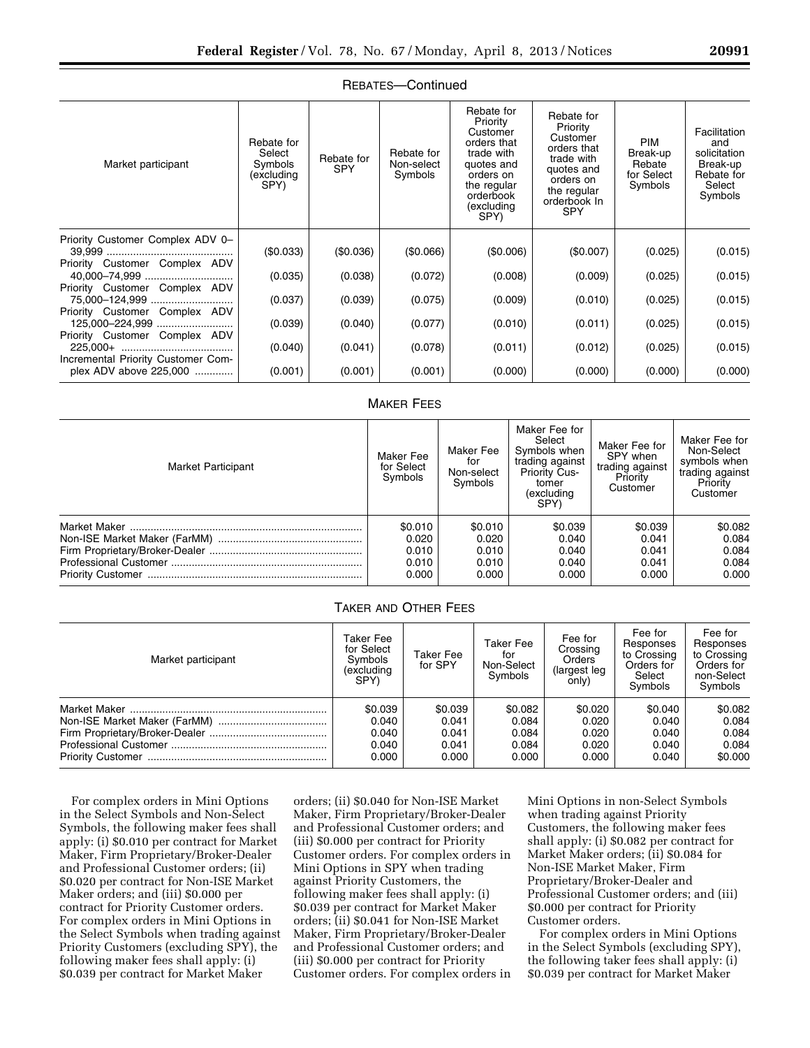| Market participant                                                               | Rebate for<br>Select<br>Symbols<br>(excluding<br>SPY) | Rebate for<br><b>SPY</b> | Rebate for<br>Non-select<br>Symbols | Rebate for<br>Priority<br>Customer<br>orders that<br>trade with<br>quotes and<br>orders on<br>the regular<br>orderbook<br>(excluding<br>SPY) | Rebate for<br>Priority<br>Customer<br>orders that<br>trade with<br>quotes and<br>orders on<br>the regular<br>orderbook In<br><b>SPY</b> | <b>PIM</b><br>Break-up<br>Rebate<br>for Select<br>Symbols | Facilitation<br>and<br>solicitation<br>Break-up<br>Rebate for<br>Select<br>Symbols |
|----------------------------------------------------------------------------------|-------------------------------------------------------|--------------------------|-------------------------------------|----------------------------------------------------------------------------------------------------------------------------------------------|-----------------------------------------------------------------------------------------------------------------------------------------|-----------------------------------------------------------|------------------------------------------------------------------------------------|
| Priority Customer Complex ADV 0-<br>Priority Customer Complex ADV                | (\$0.033)                                             | (\$0.036)                | (\$0.066)                           | (\$0.006)                                                                                                                                    | (\$0.007)                                                                                                                               | (0.025)                                                   | (0.015)                                                                            |
|                                                                                  | (0.035)                                               | (0.038)                  | (0.072)                             | (0.008)                                                                                                                                      | (0.009)                                                                                                                                 | (0.025)                                                   | (0.015)                                                                            |
| Priority Customer Complex ADV<br>75,000-124,999<br>Priority Customer Complex ADV | (0.037)                                               | (0.039)                  | (0.075)                             | (0.009)                                                                                                                                      | (0.010)                                                                                                                                 | (0.025)                                                   | (0.015)                                                                            |
| 125,000-224,999                                                                  | (0.039)                                               | (0.040)                  | (0.077)                             | (0.010)                                                                                                                                      | (0.011)                                                                                                                                 | (0.025)                                                   | (0.015)                                                                            |
| Priority Customer Complex ADV<br>Incremental Priority Customer Com-              | (0.040)                                               | (0.041)                  | (0.078)                             | (0.011)                                                                                                                                      | (0.012)                                                                                                                                 | (0.025)                                                   | (0.015)                                                                            |
| plex ADV above 225,000                                                           | (0.001)                                               | (0.001)                  | (0.001)                             | (0.000)                                                                                                                                      | (0.000)                                                                                                                                 | (0.000)                                                   | (0.000)                                                                            |

### REBATES—Continued

### MAKER FEES

| Market Participant | Maker Fee<br>for Select<br>Symbols | Maker Fee<br>for<br>Non-select<br>Symbols | Maker Fee for<br>Select<br>Symbols when<br>trading against<br><b>Priority Cus-</b><br>tomer<br>(excluding<br>SPY) | Maker Fee for<br>SPY when<br>trading against<br>Priority<br>Customer | Maker Fee for<br>Non-Select<br>symbols when<br>trading against<br>Priority<br>Customer |
|--------------------|------------------------------------|-------------------------------------------|-------------------------------------------------------------------------------------------------------------------|----------------------------------------------------------------------|----------------------------------------------------------------------------------------|
|                    | \$0.010                            | \$0.010                                   | \$0.039                                                                                                           | \$0.039                                                              | \$0.082                                                                                |
|                    | 0.020                              | 0.020                                     | 0.040                                                                                                             | 0.041                                                                | 0.084                                                                                  |
|                    | 0.010                              | 0.010                                     | 0.040                                                                                                             | 0.041                                                                | 0.084                                                                                  |
|                    | 0.010                              | 0.010                                     | 0.040                                                                                                             | 0.041                                                                | 0.084                                                                                  |
|                    | 0.000                              | 0.000                                     | 0.000                                                                                                             | 0.000                                                                | 0.000                                                                                  |

# TAKER AND OTHER FEES

| Market participant | Taker Fee<br>for Select<br>Symbols<br>excluding)<br>SPY) | Taker Fee<br>for SPY | Taker Fee<br>for<br>Non-Select<br>Symbols | Fee for<br>Crossing<br>Orders<br>(largest leg<br>only) | Fee for<br>Responses<br>to Crossing<br>Orders for<br>Select<br>Symbols | Fee for<br>Responses<br>to Crossing<br>Orders for<br>non-Select<br>Symbols |
|--------------------|----------------------------------------------------------|----------------------|-------------------------------------------|--------------------------------------------------------|------------------------------------------------------------------------|----------------------------------------------------------------------------|
|                    | \$0.039                                                  | \$0.039              | \$0.082                                   | \$0.020                                                | \$0.040                                                                | \$0.082                                                                    |
|                    | 0.040                                                    | 0.041                | 0.084                                     | 0.020                                                  | 0.040                                                                  | 0.084                                                                      |
|                    | 0.040                                                    | 0.041                | 0.084                                     | 0.020                                                  | 0.040                                                                  | 0.084                                                                      |
|                    | 0.040                                                    | 0.041                | 0.084                                     | 0.020                                                  | 0.040                                                                  | 0.084                                                                      |
|                    | 0.000                                                    | 0.000                | 0.000                                     | 0.000                                                  | 0.040                                                                  | \$0.000                                                                    |

For complex orders in Mini Options in the Select Symbols and Non-Select Symbols, the following maker fees shall apply: (i) \$0.010 per contract for Market Maker, Firm Proprietary/Broker-Dealer and Professional Customer orders; (ii) \$0.020 per contract for Non-ISE Market Maker orders; and (iii) \$0.000 per contract for Priority Customer orders. For complex orders in Mini Options in the Select Symbols when trading against Priority Customers (excluding SPY), the following maker fees shall apply: (i) \$0.039 per contract for Market Maker

orders; (ii) \$0.040 for Non-ISE Market Maker, Firm Proprietary/Broker-Dealer and Professional Customer orders; and (iii) \$0.000 per contract for Priority Customer orders. For complex orders in Mini Options in SPY when trading against Priority Customers, the following maker fees shall apply: (i) \$0.039 per contract for Market Maker orders; (ii) \$0.041 for Non-ISE Market Maker, Firm Proprietary/Broker-Dealer and Professional Customer orders; and (iii) \$0.000 per contract for Priority Customer orders. For complex orders in Mini Options in non-Select Symbols when trading against Priority Customers, the following maker fees shall apply: (i) \$0.082 per contract for Market Maker orders; (ii) \$0.084 for Non-ISE Market Maker, Firm Proprietary/Broker-Dealer and Professional Customer orders; and (iii) \$0.000 per contract for Priority Customer orders.

For complex orders in Mini Options in the Select Symbols (excluding SPY), the following taker fees shall apply: (i) \$0.039 per contract for Market Maker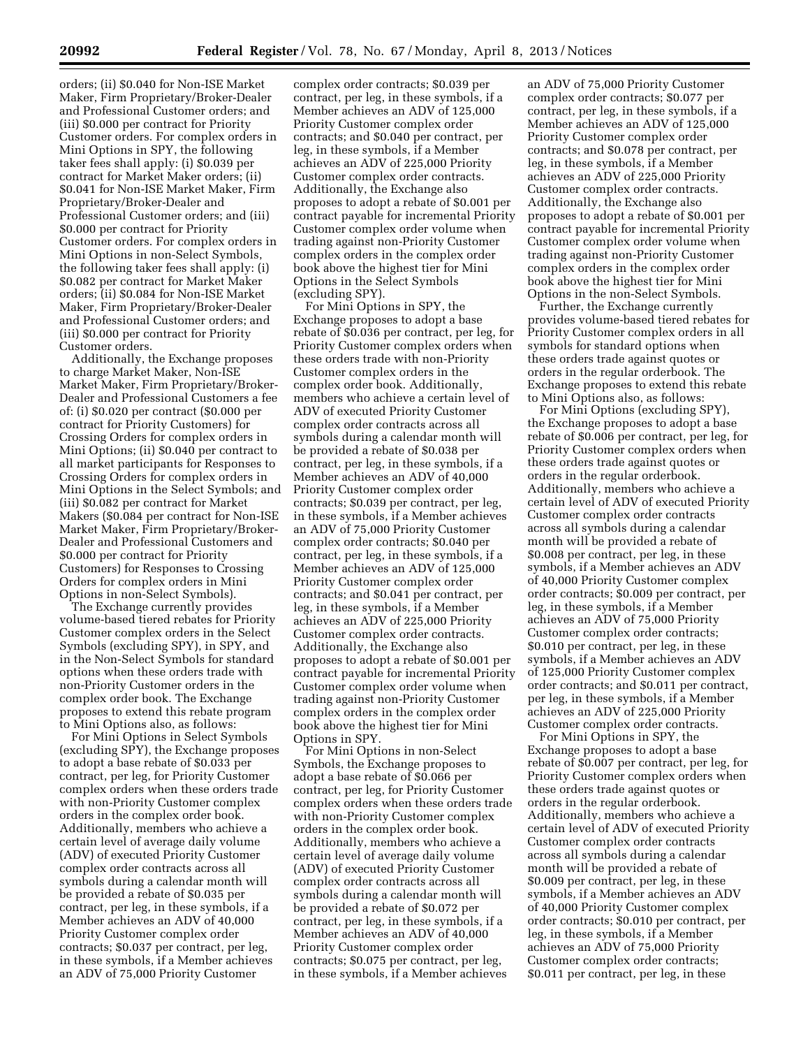orders; (ii) \$0.040 for Non-ISE Market Maker, Firm Proprietary/Broker-Dealer and Professional Customer orders; and (iii) \$0.000 per contract for Priority Customer orders. For complex orders in Mini Options in SPY, the following taker fees shall apply: (i) \$0.039 per contract for Market Maker orders; (ii) \$0.041 for Non-ISE Market Maker, Firm Proprietary/Broker-Dealer and Professional Customer orders; and (iii) \$0.000 per contract for Priority Customer orders. For complex orders in Mini Options in non-Select Symbols, the following taker fees shall apply: (i) \$0.082 per contract for Market Maker orders; (ii) \$0.084 for Non-ISE Market Maker, Firm Proprietary/Broker-Dealer and Professional Customer orders; and (iii) \$0.000 per contract for Priority Customer orders.

Additionally, the Exchange proposes to charge Market Maker, Non-ISE Market Maker, Firm Proprietary/Broker-Dealer and Professional Customers a fee of: (i) \$0.020 per contract (\$0.000 per contract for Priority Customers) for Crossing Orders for complex orders in Mini Options; (ii) \$0.040 per contract to all market participants for Responses to Crossing Orders for complex orders in Mini Options in the Select Symbols; and (iii) \$0.082 per contract for Market Makers (\$0.084 per contract for Non-ISE Market Maker, Firm Proprietary/Broker-Dealer and Professional Customers and \$0.000 per contract for Priority Customers) for Responses to Crossing Orders for complex orders in Mini Options in non-Select Symbols).

The Exchange currently provides volume-based tiered rebates for Priority Customer complex orders in the Select Symbols (excluding SPY), in SPY, and in the Non-Select Symbols for standard options when these orders trade with non-Priority Customer orders in the complex order book. The Exchange proposes to extend this rebate program to Mini Options also, as follows:

For Mini Options in Select Symbols (excluding SPY), the Exchange proposes to adopt a base rebate of \$0.033 per contract, per leg, for Priority Customer complex orders when these orders trade with non-Priority Customer complex orders in the complex order book. Additionally, members who achieve a certain level of average daily volume (ADV) of executed Priority Customer complex order contracts across all symbols during a calendar month will be provided a rebate of \$0.035 per contract, per leg, in these symbols, if a Member achieves an ADV of 40,000 Priority Customer complex order contracts; \$0.037 per contract, per leg, in these symbols, if a Member achieves an ADV of 75,000 Priority Customer

complex order contracts; \$0.039 per contract, per leg, in these symbols, if a Member achieves an ADV of 125,000 Priority Customer complex order contracts; and \$0.040 per contract, per leg, in these symbols, if a Member achieves an ADV of 225,000 Priority Customer complex order contracts. Additionally, the Exchange also proposes to adopt a rebate of \$0.001 per contract payable for incremental Priority Customer complex order volume when trading against non-Priority Customer complex orders in the complex order book above the highest tier for Mini Options in the Select Symbols (excluding SPY).

For Mini Options in SPY, the Exchange proposes to adopt a base rebate of \$0.036 per contract, per leg, for Priority Customer complex orders when these orders trade with non-Priority Customer complex orders in the complex order book. Additionally, members who achieve a certain level of ADV of executed Priority Customer complex order contracts across all symbols during a calendar month will be provided a rebate of \$0.038 per contract, per leg, in these symbols, if a Member achieves an ADV of 40,000 Priority Customer complex order contracts; \$0.039 per contract, per leg, in these symbols, if a Member achieves an ADV of 75,000 Priority Customer complex order contracts; \$0.040 per contract, per leg, in these symbols, if a Member achieves an ADV of 125,000 Priority Customer complex order contracts; and \$0.041 per contract, per leg, in these symbols, if a Member achieves an ADV of 225,000 Priority Customer complex order contracts. Additionally, the Exchange also proposes to adopt a rebate of \$0.001 per contract payable for incremental Priority Customer complex order volume when trading against non-Priority Customer complex orders in the complex order book above the highest tier for Mini Options in SPY.

For Mini Options in non-Select Symbols, the Exchange proposes to adopt a base rebate of \$0.066 per contract, per leg, for Priority Customer complex orders when these orders trade with non-Priority Customer complex orders in the complex order book. Additionally, members who achieve a certain level of average daily volume (ADV) of executed Priority Customer complex order contracts across all symbols during a calendar month will be provided a rebate of \$0.072 per contract, per leg, in these symbols, if a Member achieves an ADV of 40,000 Priority Customer complex order contracts; \$0.075 per contract, per leg, in these symbols, if a Member achieves

an ADV of 75,000 Priority Customer complex order contracts; \$0.077 per contract, per leg, in these symbols, if a Member achieves an ADV of 125,000 Priority Customer complex order contracts; and \$0.078 per contract, per leg, in these symbols, if a Member achieves an ADV of 225,000 Priority Customer complex order contracts. Additionally, the Exchange also proposes to adopt a rebate of \$0.001 per contract payable for incremental Priority Customer complex order volume when trading against non-Priority Customer complex orders in the complex order book above the highest tier for Mini Options in the non-Select Symbols.

Further, the Exchange currently provides volume-based tiered rebates for Priority Customer complex orders in all symbols for standard options when these orders trade against quotes or orders in the regular orderbook. The Exchange proposes to extend this rebate to Mini Options also, as follows:

For Mini Options (excluding SPY), the Exchange proposes to adopt a base rebate of \$0.006 per contract, per leg, for Priority Customer complex orders when these orders trade against quotes or orders in the regular orderbook. Additionally, members who achieve a certain level of ADV of executed Priority Customer complex order contracts across all symbols during a calendar month will be provided a rebate of \$0.008 per contract, per leg, in these symbols, if a Member achieves an ADV of 40,000 Priority Customer complex order contracts; \$0.009 per contract, per leg, in these symbols, if a Member achieves an ADV of 75,000 Priority Customer complex order contracts; \$0.010 per contract, per leg, in these symbols, if a Member achieves an ADV of 125,000 Priority Customer complex order contracts; and \$0.011 per contract, per leg, in these symbols, if a Member achieves an ADV of 225,000 Priority Customer complex order contracts.

For Mini Options in SPY, the Exchange proposes to adopt a base rebate of \$0.007 per contract, per leg, for Priority Customer complex orders when these orders trade against quotes or orders in the regular orderbook. Additionally, members who achieve a certain level of ADV of executed Priority Customer complex order contracts across all symbols during a calendar month will be provided a rebate of \$0.009 per contract, per leg, in these symbols, if a Member achieves an ADV of 40,000 Priority Customer complex order contracts; \$0.010 per contract, per leg, in these symbols, if a Member achieves an ADV of 75,000 Priority Customer complex order contracts; \$0.011 per contract, per leg, in these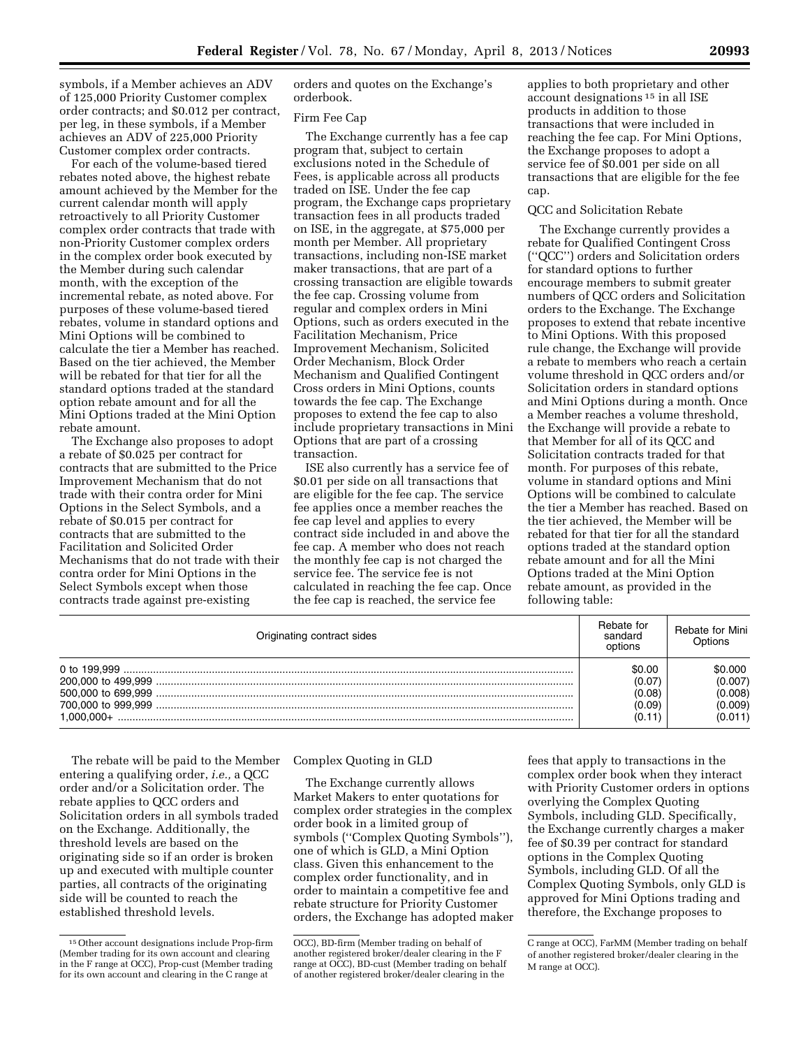symbols, if a Member achieves an ADV of 125,000 Priority Customer complex order contracts; and \$0.012 per contract, per leg, in these symbols, if a Member achieves an ADV of 225,000 Priority Customer complex order contracts.

For each of the volume-based tiered rebates noted above, the highest rebate amount achieved by the Member for the current calendar month will apply retroactively to all Priority Customer complex order contracts that trade with non-Priority Customer complex orders in the complex order book executed by the Member during such calendar month, with the exception of the incremental rebate, as noted above. For purposes of these volume-based tiered rebates, volume in standard options and Mini Options will be combined to calculate the tier a Member has reached. Based on the tier achieved, the Member will be rebated for that tier for all the standard options traded at the standard option rebate amount and for all the Mini Options traded at the Mini Option rebate amount.

The Exchange also proposes to adopt a rebate of \$0.025 per contract for contracts that are submitted to the Price Improvement Mechanism that do not trade with their contra order for Mini Options in the Select Symbols, and a rebate of \$0.015 per contract for contracts that are submitted to the Facilitation and Solicited Order Mechanisms that do not trade with their contra order for Mini Options in the Select Symbols except when those contracts trade against pre-existing

orders and quotes on the Exchange's orderbook.

### Firm Fee Cap

The Exchange currently has a fee cap program that, subject to certain exclusions noted in the Schedule of Fees, is applicable across all products traded on ISE. Under the fee cap program, the Exchange caps proprietary transaction fees in all products traded on ISE, in the aggregate, at \$75,000 per month per Member. All proprietary transactions, including non-ISE market maker transactions, that are part of a crossing transaction are eligible towards the fee cap. Crossing volume from regular and complex orders in Mini Options, such as orders executed in the Facilitation Mechanism, Price Improvement Mechanism, Solicited Order Mechanism, Block Order Mechanism and Qualified Contingent Cross orders in Mini Options, counts towards the fee cap. The Exchange proposes to extend the fee cap to also include proprietary transactions in Mini Options that are part of a crossing transaction.

ISE also currently has a service fee of \$0.01 per side on all transactions that are eligible for the fee cap. The service fee applies once a member reaches the fee cap level and applies to every contract side included in and above the fee cap. A member who does not reach the monthly fee cap is not charged the service fee. The service fee is not calculated in reaching the fee cap. Once the fee cap is reached, the service fee

applies to both proprietary and other account designations 15 in all ISE products in addition to those transactions that were included in reaching the fee cap. For Mini Options, the Exchange proposes to adopt a service fee of \$0.001 per side on all transactions that are eligible for the fee cap.

# QCC and Solicitation Rebate

The Exchange currently provides a rebate for Qualified Contingent Cross (''QCC'') orders and Solicitation orders for standard options to further encourage members to submit greater numbers of QCC orders and Solicitation orders to the Exchange. The Exchange proposes to extend that rebate incentive to Mini Options. With this proposed rule change, the Exchange will provide a rebate to members who reach a certain volume threshold in QCC orders and/or Solicitation orders in standard options and Mini Options during a month. Once a Member reaches a volume threshold, the Exchange will provide a rebate to that Member for all of its QCC and Solicitation contracts traded for that month. For purposes of this rebate, volume in standard options and Mini Options will be combined to calculate the tier a Member has reached. Based on the tier achieved, the Member will be rebated for that tier for all the standard options traded at the standard option rebate amount and for all the Mini Options traded at the Mini Option rebate amount, as provided in the following table:

| Originating contract sides | Rebate for<br>sandard<br>options               | Rebate for Mini<br>Ontions                          |
|----------------------------|------------------------------------------------|-----------------------------------------------------|
| $1.000.000 +$              | \$0.00<br>(0.07)<br>(0.08)<br>(0.09)<br>(0.11) | \$0.000<br>(0.007)<br>(0.008)<br>(0.009)<br>(0.011) |

The rebate will be paid to the Member entering a qualifying order, *i.e.,* a QCC order and/or a Solicitation order. The rebate applies to QCC orders and Solicitation orders in all symbols traded on the Exchange. Additionally, the threshold levels are based on the originating side so if an order is broken up and executed with multiple counter parties, all contracts of the originating side will be counted to reach the established threshold levels.

Complex Quoting in GLD

The Exchange currently allows Market Makers to enter quotations for complex order strategies in the complex order book in a limited group of symbols (''Complex Quoting Symbols''), one of which is GLD, a Mini Option class. Given this enhancement to the complex order functionality, and in order to maintain a competitive fee and rebate structure for Priority Customer orders, the Exchange has adopted maker

fees that apply to transactions in the complex order book when they interact with Priority Customer orders in options overlying the Complex Quoting Symbols, including GLD. Specifically, the Exchange currently charges a maker fee of \$0.39 per contract for standard options in the Complex Quoting Symbols, including GLD. Of all the Complex Quoting Symbols, only GLD is approved for Mini Options trading and therefore, the Exchange proposes to

<sup>15</sup>Other account designations include Prop-firm (Member trading for its own account and clearing in the F range at OCC), Prop-cust (Member trading for its own account and clearing in the C range at

OCC), BD-firm (Member trading on behalf of another registered broker/dealer clearing in the F range at OCC), BD-cust (Member trading on behalf of another registered broker/dealer clearing in the

C range at OCC), FarMM (Member trading on behalf of another registered broker/dealer clearing in the M range at OCC).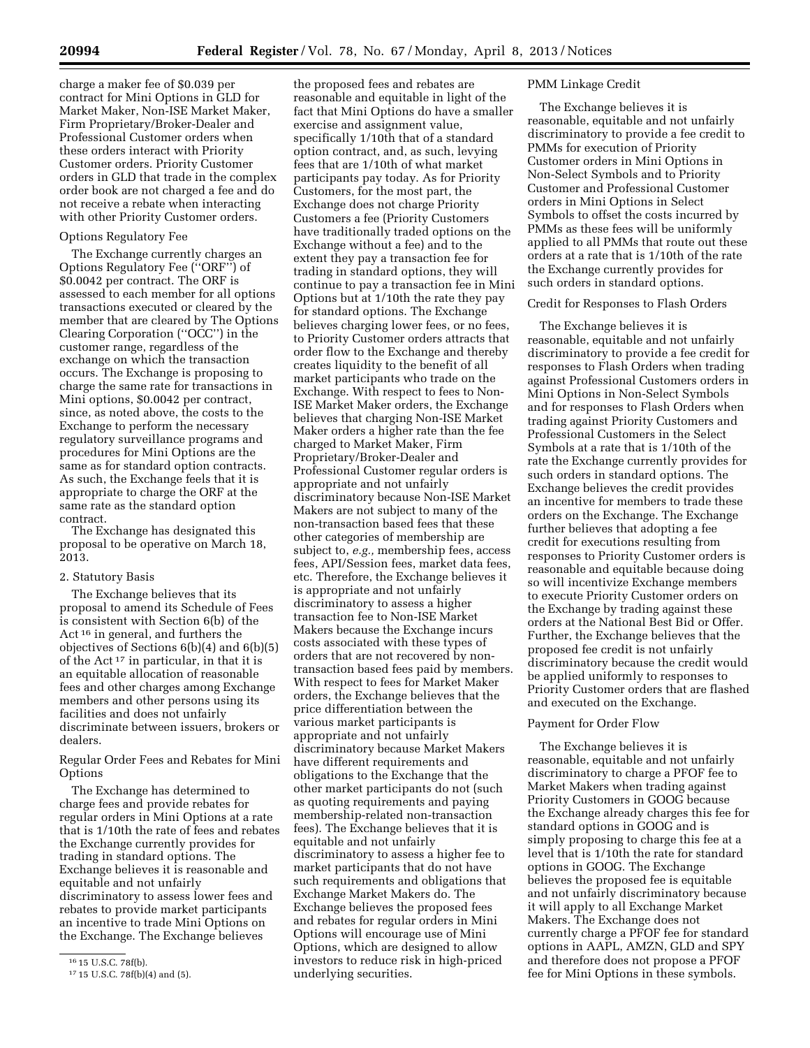charge a maker fee of \$0.039 per contract for Mini Options in GLD for Market Maker, Non-ISE Market Maker, Firm Proprietary/Broker-Dealer and Professional Customer orders when these orders interact with Priority Customer orders. Priority Customer orders in GLD that trade in the complex order book are not charged a fee and do not receive a rebate when interacting with other Priority Customer orders.

### Options Regulatory Fee

The Exchange currently charges an Options Regulatory Fee (''ORF'') of \$0.0042 per contract. The ORF is assessed to each member for all options transactions executed or cleared by the member that are cleared by The Options Clearing Corporation (''OCC'') in the customer range, regardless of the exchange on which the transaction occurs. The Exchange is proposing to charge the same rate for transactions in Mini options, \$0.0042 per contract, since, as noted above, the costs to the Exchange to perform the necessary regulatory surveillance programs and procedures for Mini Options are the same as for standard option contracts. As such, the Exchange feels that it is appropriate to charge the ORF at the same rate as the standard option contract.

The Exchange has designated this proposal to be operative on March 18, 2013.

#### 2. Statutory Basis

The Exchange believes that its proposal to amend its Schedule of Fees is consistent with Section 6(b) of the Act 16 in general, and furthers the objectives of Sections 6(b)(4) and 6(b)(5) of the Act 17 in particular, in that it is an equitable allocation of reasonable fees and other charges among Exchange members and other persons using its facilities and does not unfairly discriminate between issuers, brokers or dealers.

Regular Order Fees and Rebates for Mini Options

The Exchange has determined to charge fees and provide rebates for regular orders in Mini Options at a rate that is 1/10th the rate of fees and rebates the Exchange currently provides for trading in standard options. The Exchange believes it is reasonable and equitable and not unfairly discriminatory to assess lower fees and rebates to provide market participants an incentive to trade Mini Options on the Exchange. The Exchange believes

the proposed fees and rebates are reasonable and equitable in light of the fact that Mini Options do have a smaller exercise and assignment value, specifically 1/10th that of a standard option contract, and, as such, levying fees that are 1/10th of what market participants pay today. As for Priority Customers, for the most part, the Exchange does not charge Priority Customers a fee (Priority Customers have traditionally traded options on the Exchange without a fee) and to the extent they pay a transaction fee for trading in standard options, they will continue to pay a transaction fee in Mini Options but at 1/10th the rate they pay for standard options. The Exchange believes charging lower fees, or no fees, to Priority Customer orders attracts that order flow to the Exchange and thereby creates liquidity to the benefit of all market participants who trade on the Exchange. With respect to fees to Non-ISE Market Maker orders, the Exchange believes that charging Non-ISE Market Maker orders a higher rate than the fee charged to Market Maker, Firm Proprietary/Broker-Dealer and Professional Customer regular orders is appropriate and not unfairly discriminatory because Non-ISE Market Makers are not subject to many of the non-transaction based fees that these other categories of membership are subject to, *e.g.,* membership fees, access fees, API/Session fees, market data fees, etc. Therefore, the Exchange believes it is appropriate and not unfairly discriminatory to assess a higher transaction fee to Non-ISE Market Makers because the Exchange incurs costs associated with these types of orders that are not recovered by nontransaction based fees paid by members. With respect to fees for Market Maker orders, the Exchange believes that the price differentiation between the various market participants is appropriate and not unfairly discriminatory because Market Makers have different requirements and obligations to the Exchange that the other market participants do not (such as quoting requirements and paying membership-related non-transaction fees). The Exchange believes that it is equitable and not unfairly discriminatory to assess a higher fee to market participants that do not have such requirements and obligations that Exchange Market Makers do. The Exchange believes the proposed fees and rebates for regular orders in Mini Options will encourage use of Mini Options, which are designed to allow investors to reduce risk in high-priced

underlying securities.

# PMM Linkage Credit

The Exchange believes it is reasonable, equitable and not unfairly discriminatory to provide a fee credit to PMMs for execution of Priority Customer orders in Mini Options in Non-Select Symbols and to Priority Customer and Professional Customer orders in Mini Options in Select Symbols to offset the costs incurred by PMMs as these fees will be uniformly applied to all PMMs that route out these orders at a rate that is 1/10th of the rate the Exchange currently provides for such orders in standard options.

### Credit for Responses to Flash Orders

The Exchange believes it is reasonable, equitable and not unfairly discriminatory to provide a fee credit for responses to Flash Orders when trading against Professional Customers orders in Mini Options in Non-Select Symbols and for responses to Flash Orders when trading against Priority Customers and Professional Customers in the Select Symbols at a rate that is 1/10th of the rate the Exchange currently provides for such orders in standard options. The Exchange believes the credit provides an incentive for members to trade these orders on the Exchange. The Exchange further believes that adopting a fee credit for executions resulting from responses to Priority Customer orders is reasonable and equitable because doing so will incentivize Exchange members to execute Priority Customer orders on the Exchange by trading against these orders at the National Best Bid or Offer. Further, the Exchange believes that the proposed fee credit is not unfairly discriminatory because the credit would be applied uniformly to responses to Priority Customer orders that are flashed and executed on the Exchange.

#### Payment for Order Flow

The Exchange believes it is reasonable, equitable and not unfairly discriminatory to charge a PFOF fee to Market Makers when trading against Priority Customers in GOOG because the Exchange already charges this fee for standard options in GOOG and is simply proposing to charge this fee at a level that is 1/10th the rate for standard options in GOOG. The Exchange believes the proposed fee is equitable and not unfairly discriminatory because it will apply to all Exchange Market Makers. The Exchange does not currently charge a PFOF fee for standard options in AAPL, AMZN, GLD and SPY and therefore does not propose a PFOF fee for Mini Options in these symbols.

<sup>16</sup> 15 U.S.C. 78f(b).

<sup>17</sup> 15 U.S.C. 78f(b)(4) and (5).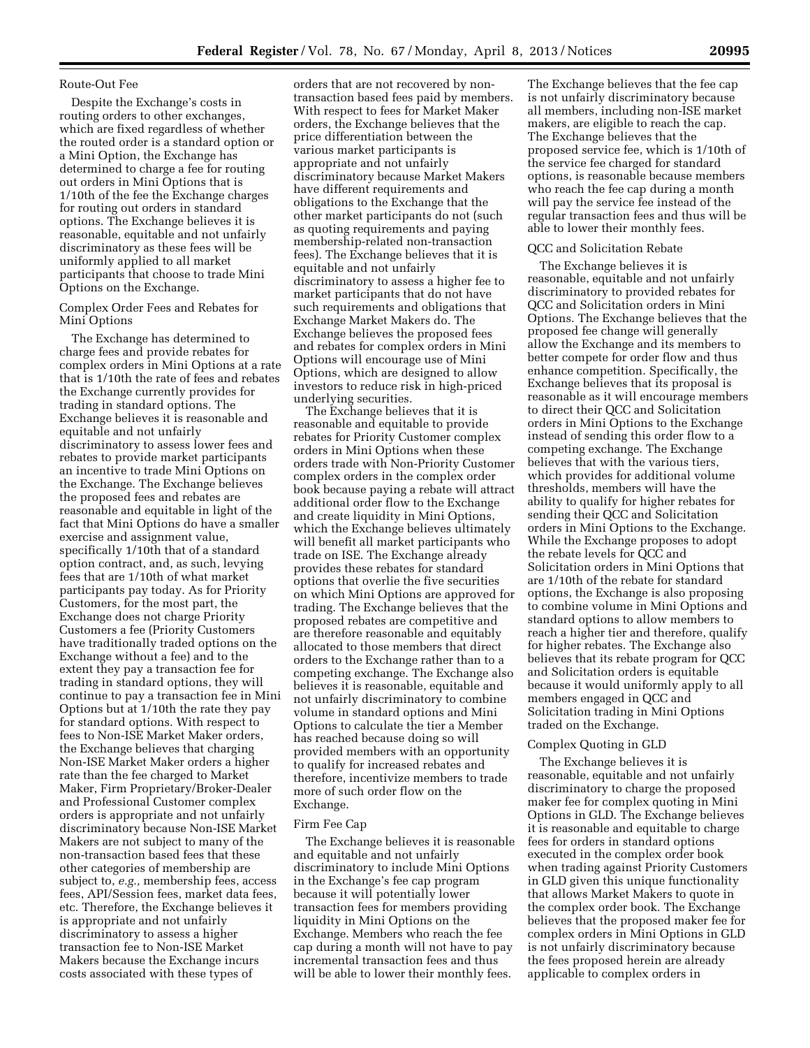### Route-Out Fee

Despite the Exchange's costs in routing orders to other exchanges, which are fixed regardless of whether the routed order is a standard option or a Mini Option, the Exchange has determined to charge a fee for routing out orders in Mini Options that is 1/10th of the fee the Exchange charges for routing out orders in standard options. The Exchange believes it is reasonable, equitable and not unfairly discriminatory as these fees will be uniformly applied to all market participants that choose to trade Mini Options on the Exchange.

Complex Order Fees and Rebates for Mini Options

The Exchange has determined to charge fees and provide rebates for complex orders in Mini Options at a rate that is 1/10th the rate of fees and rebates the Exchange currently provides for trading in standard options. The Exchange believes it is reasonable and equitable and not unfairly discriminatory to assess lower fees and rebates to provide market participants an incentive to trade Mini Options on the Exchange. The Exchange believes the proposed fees and rebates are reasonable and equitable in light of the fact that Mini Options do have a smaller exercise and assignment value, specifically 1/10th that of a standard option contract, and, as such, levying fees that are 1/10th of what market participants pay today. As for Priority Customers, for the most part, the Exchange does not charge Priority Customers a fee (Priority Customers have traditionally traded options on the Exchange without a fee) and to the extent they pay a transaction fee for trading in standard options, they will continue to pay a transaction fee in Mini Options but at 1/10th the rate they pay for standard options. With respect to fees to Non-ISE Market Maker orders, the Exchange believes that charging Non-ISE Market Maker orders a higher rate than the fee charged to Market Maker, Firm Proprietary/Broker-Dealer and Professional Customer complex orders is appropriate and not unfairly discriminatory because Non-ISE Market Makers are not subject to many of the non-transaction based fees that these other categories of membership are subject to, *e.g.,* membership fees, access fees, API/Session fees, market data fees, etc. Therefore, the Exchange believes it is appropriate and not unfairly discriminatory to assess a higher transaction fee to Non-ISE Market Makers because the Exchange incurs costs associated with these types of

orders that are not recovered by nontransaction based fees paid by members. With respect to fees for Market Maker orders, the Exchange believes that the price differentiation between the various market participants is appropriate and not unfairly discriminatory because Market Makers have different requirements and obligations to the Exchange that the other market participants do not (such as quoting requirements and paying membership-related non-transaction fees). The Exchange believes that it is equitable and not unfairly discriminatory to assess a higher fee to market participants that do not have such requirements and obligations that Exchange Market Makers do. The Exchange believes the proposed fees and rebates for complex orders in Mini Options will encourage use of Mini Options, which are designed to allow investors to reduce risk in high-priced underlying securities.

The Exchange believes that it is reasonable and equitable to provide rebates for Priority Customer complex orders in Mini Options when these orders trade with Non-Priority Customer complex orders in the complex order book because paying a rebate will attract additional order flow to the Exchange and create liquidity in Mini Options, which the Exchange believes ultimately will benefit all market participants who trade on ISE. The Exchange already provides these rebates for standard options that overlie the five securities on which Mini Options are approved for trading. The Exchange believes that the proposed rebates are competitive and are therefore reasonable and equitably allocated to those members that direct orders to the Exchange rather than to a competing exchange. The Exchange also believes it is reasonable, equitable and not unfairly discriminatory to combine volume in standard options and Mini Options to calculate the tier a Member has reached because doing so will provided members with an opportunity to qualify for increased rebates and therefore, incentivize members to trade more of such order flow on the Exchange.

#### Firm Fee Cap

The Exchange believes it is reasonable and equitable and not unfairly discriminatory to include Mini Options in the Exchange's fee cap program because it will potentially lower transaction fees for members providing liquidity in Mini Options on the Exchange. Members who reach the fee cap during a month will not have to pay incremental transaction fees and thus will be able to lower their monthly fees.

The Exchange believes that the fee cap is not unfairly discriminatory because all members, including non-ISE market makers, are eligible to reach the cap. The Exchange believes that the proposed service fee, which is 1/10th of the service fee charged for standard options, is reasonable because members who reach the fee cap during a month will pay the service fee instead of the regular transaction fees and thus will be able to lower their monthly fees.

### QCC and Solicitation Rebate

The Exchange believes it is reasonable, equitable and not unfairly discriminatory to provided rebates for QCC and Solicitation orders in Mini Options. The Exchange believes that the proposed fee change will generally allow the Exchange and its members to better compete for order flow and thus enhance competition. Specifically, the Exchange believes that its proposal is reasonable as it will encourage members to direct their QCC and Solicitation orders in Mini Options to the Exchange instead of sending this order flow to a competing exchange. The Exchange believes that with the various tiers, which provides for additional volume thresholds, members will have the ability to qualify for higher rebates for sending their QCC and Solicitation orders in Mini Options to the Exchange. While the Exchange proposes to adopt the rebate levels for QCC and Solicitation orders in Mini Options that are 1/10th of the rebate for standard options, the Exchange is also proposing to combine volume in Mini Options and standard options to allow members to reach a higher tier and therefore, qualify for higher rebates. The Exchange also believes that its rebate program for QCC and Solicitation orders is equitable because it would uniformly apply to all members engaged in QCC and Solicitation trading in Mini Options traded on the Exchange.

### Complex Quoting in GLD

The Exchange believes it is reasonable, equitable and not unfairly discriminatory to charge the proposed maker fee for complex quoting in Mini Options in GLD. The Exchange believes it is reasonable and equitable to charge fees for orders in standard options executed in the complex order book when trading against Priority Customers in GLD given this unique functionality that allows Market Makers to quote in the complex order book. The Exchange believes that the proposed maker fee for complex orders in Mini Options in GLD is not unfairly discriminatory because the fees proposed herein are already applicable to complex orders in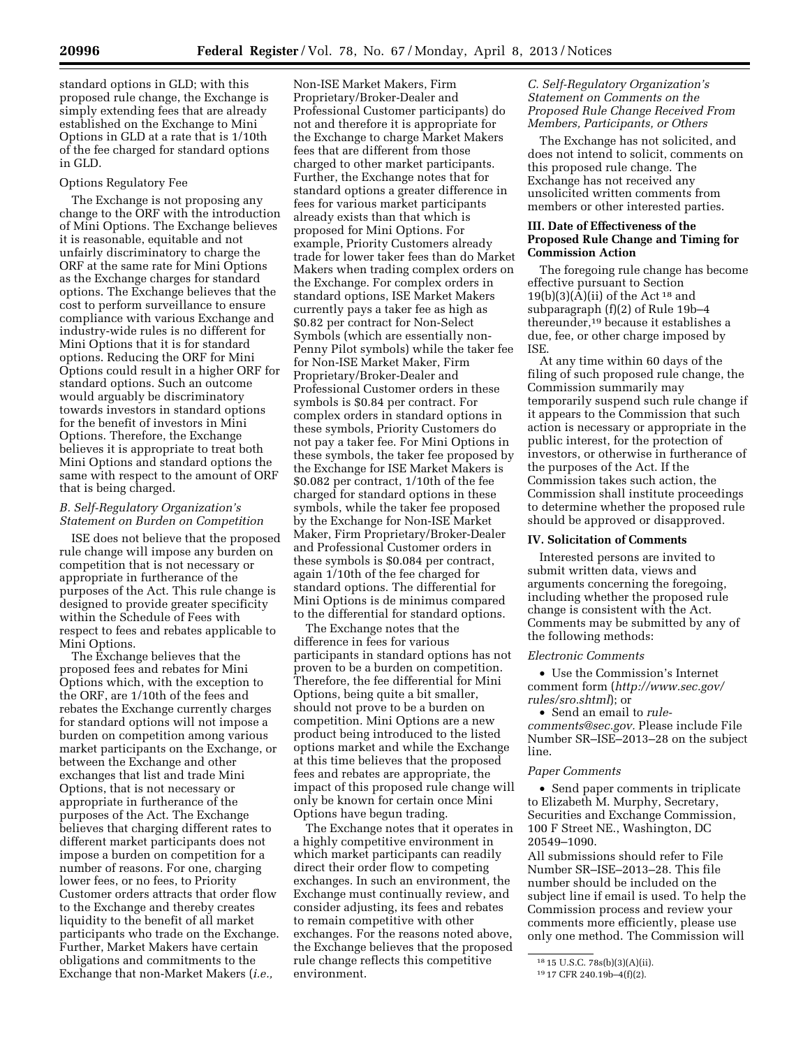standard options in GLD; with this proposed rule change, the Exchange is simply extending fees that are already established on the Exchange to Mini Options in GLD at a rate that is 1/10th of the fee charged for standard options in GLD.

# Options Regulatory Fee

The Exchange is not proposing any change to the ORF with the introduction of Mini Options. The Exchange believes it is reasonable, equitable and not unfairly discriminatory to charge the ORF at the same rate for Mini Options as the Exchange charges for standard options. The Exchange believes that the cost to perform surveillance to ensure compliance with various Exchange and industry-wide rules is no different for Mini Options that it is for standard options. Reducing the ORF for Mini Options could result in a higher ORF for standard options. Such an outcome would arguably be discriminatory towards investors in standard options for the benefit of investors in Mini Options. Therefore, the Exchange believes it is appropriate to treat both Mini Options and standard options the same with respect to the amount of ORF that is being charged.

# *B. Self-Regulatory Organization's Statement on Burden on Competition*

ISE does not believe that the proposed rule change will impose any burden on competition that is not necessary or appropriate in furtherance of the purposes of the Act. This rule change is designed to provide greater specificity within the Schedule of Fees with respect to fees and rebates applicable to Mini Options.

The Exchange believes that the proposed fees and rebates for Mini Options which, with the exception to the ORF, are 1/10th of the fees and rebates the Exchange currently charges for standard options will not impose a burden on competition among various market participants on the Exchange, or between the Exchange and other exchanges that list and trade Mini Options, that is not necessary or appropriate in furtherance of the purposes of the Act. The Exchange believes that charging different rates to different market participants does not impose a burden on competition for a number of reasons. For one, charging lower fees, or no fees, to Priority Customer orders attracts that order flow to the Exchange and thereby creates liquidity to the benefit of all market participants who trade on the Exchange. Further, Market Makers have certain obligations and commitments to the Exchange that non-Market Makers (*i.e.,* 

Non-ISE Market Makers, Firm Proprietary/Broker-Dealer and Professional Customer participants) do not and therefore it is appropriate for the Exchange to charge Market Makers fees that are different from those charged to other market participants. Further, the Exchange notes that for standard options a greater difference in fees for various market participants already exists than that which is proposed for Mini Options. For example, Priority Customers already trade for lower taker fees than do Market Makers when trading complex orders on the Exchange. For complex orders in standard options, ISE Market Makers currently pays a taker fee as high as \$0.82 per contract for Non-Select Symbols (which are essentially non-Penny Pilot symbols) while the taker fee for Non-ISE Market Maker, Firm Proprietary/Broker-Dealer and Professional Customer orders in these symbols is \$0.84 per contract. For complex orders in standard options in these symbols, Priority Customers do not pay a taker fee. For Mini Options in these symbols, the taker fee proposed by the Exchange for ISE Market Makers is \$0.082 per contract, 1/10th of the fee charged for standard options in these symbols, while the taker fee proposed by the Exchange for Non-ISE Market Maker, Firm Proprietary/Broker-Dealer and Professional Customer orders in these symbols is \$0.084 per contract, again 1/10th of the fee charged for standard options. The differential for Mini Options is de minimus compared to the differential for standard options.

The Exchange notes that the difference in fees for various participants in standard options has not proven to be a burden on competition. Therefore, the fee differential for Mini Options, being quite a bit smaller, should not prove to be a burden on competition. Mini Options are a new product being introduced to the listed options market and while the Exchange at this time believes that the proposed fees and rebates are appropriate, the impact of this proposed rule change will only be known for certain once Mini Options have begun trading.

The Exchange notes that it operates in a highly competitive environment in which market participants can readily direct their order flow to competing exchanges. In such an environment, the Exchange must continually review, and consider adjusting, its fees and rebates to remain competitive with other exchanges. For the reasons noted above, the Exchange believes that the proposed rule change reflects this competitive environment.

# *C. Self-Regulatory Organization's Statement on Comments on the Proposed Rule Change Received From Members, Participants, or Others*

The Exchange has not solicited, and does not intend to solicit, comments on this proposed rule change. The Exchange has not received any unsolicited written comments from members or other interested parties.

# **III. Date of Effectiveness of the Proposed Rule Change and Timing for Commission Action**

The foregoing rule change has become effective pursuant to Section  $19(b)(3)(\overline{A})(ii)$  of the Act<sup>18</sup> and subparagraph (f)(2) of Rule 19b–4 thereunder,19 because it establishes a due, fee, or other charge imposed by ISE.

At any time within 60 days of the filing of such proposed rule change, the Commission summarily may temporarily suspend such rule change if it appears to the Commission that such action is necessary or appropriate in the public interest, for the protection of investors, or otherwise in furtherance of the purposes of the Act. If the Commission takes such action, the Commission shall institute proceedings to determine whether the proposed rule should be approved or disapproved.

### **IV. Solicitation of Comments**

Interested persons are invited to submit written data, views and arguments concerning the foregoing, including whether the proposed rule change is consistent with the Act. Comments may be submitted by any of the following methods:

### *Electronic Comments*

• Use the Commission's Internet comment form (*[http://www.sec.gov/](http://www.sec.gov/rules/sro.shtml)  [rules/sro.shtml](http://www.sec.gov/rules/sro.shtml)*); or

• Send an email to *[rule](mailto:rule-comments@sec.gov)[comments@sec.gov.](mailto:rule-comments@sec.gov)* Please include File Number SR–ISE–2013–28 on the subject line.

# *Paper Comments*

• Send paper comments in triplicate to Elizabeth M. Murphy, Secretary, Securities and Exchange Commission, 100 F Street NE., Washington, DC 20549–1090.

All submissions should refer to File Number SR–ISE–2013–28. This file number should be included on the subject line if email is used. To help the Commission process and review your comments more efficiently, please use only one method. The Commission will

<sup>18</sup> 15 U.S.C. 78s(b)(3)(A)(ii).

<sup>19</sup> 17 CFR 240.19b–4(f)(2).